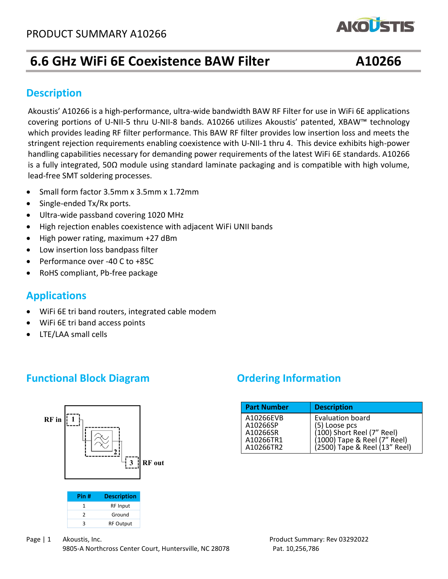# **6.6 GHz WiFi 6E Coexistence BAW Filter A10266**

**AKOUSTIS** 

## **Description**

nandling capabilities necessary for demandling power requirements of the latest wi<del>rfose</del> standards. A10266<br>is a fully integrated, 50Ω module using standard laminate packaging and is compatible with high volume, lead-free SMT soldering processes. Akoustis' A10266 is a high-performance, ultra-wide bandwidth BAW RF Filter for use in WiFi 6E applications covering portions of U-NII-5 thru U-NII-8 bands. A10266 utilizes Akoustis' patented, XBAW™ technology which provides leading RF filter performance. This BAW RF filter provides low insertion loss and meets the stringent rejection requirements enabling coexistence with U-NII-1 thru 4. This device exhibits high-power handling capabilities necessary for demanding power requirements of the latest WiFi 6E standards. A10266

- Small form factor 3.5mm x 3.5mm x 1.72mm
- Single-ended Tx/Rx ports.
- Ultra-wide passband covering 1020 MHz
- High rejection enables coexistence with adjacent WiFi UNII bands
- High power rating, maximum +27 dBm
- Low insertion loss bandpass filter
- Performance over -40 C to +85C
- RoHS compliant, Pb-free package

### **Applications**

- WiFi 6E tri band routers, integrated cable modem
- WiFi 6E tri band access points
- LTE/LAA small cells

## **Functional Block Diagram Diagram Ordering Information**



| Pin # | <b>Description</b> |
|-------|--------------------|
|       | <b>RF</b> Input    |
|       | Ground             |
|       | <b>RF Output</b>   |

#### Page | 1 Akoustis, Inc. Product Summary: Rev 03292022 9805-A Northcross Center Court, Huntersville, NC 28078 Pat. 10,256,786

| <b>Part Number</b>                                          | <b>Description</b>                                                                                                               |
|-------------------------------------------------------------|----------------------------------------------------------------------------------------------------------------------------------|
| A10266EVB<br>A10266SP<br>A10266SR<br>A10266TR1<br>A10266TR2 | Evaluation board<br>(5) Loose pcs<br>(100) Short Reel (7" Reel)<br>(1000) Tape & Reel (7" Reel)<br>(2500) Tape & Reel (13" Reel) |